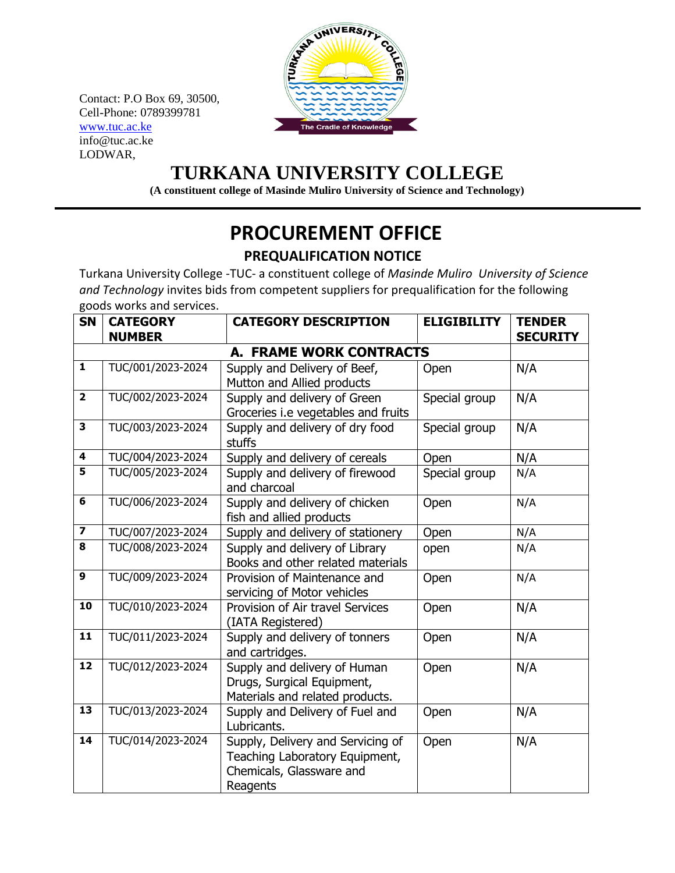Contact: P.O Box 69, 30500, Cell-Phone: 0789399781 [www.tuc.ac.ke](http://www.tuc.ac.ke/) info@tuc.ac.ke LODWAR,



## **TURKANA UNIVERSITY COLLEGE**

**(A constituent college of Masinde Muliro University of Science and Technology)**

## **PROCUREMENT OFFICE**

## **PREQUALIFICATION NOTICE**

Turkana University College -TUC- a constituent college of *Masinde Muliro University of Science and Technology* invites bids from competent suppliers for prequalification for the following goods works and services.

| <b>SN</b>               | <b>CATEGORY</b><br><b>NUMBER</b> | <b>CATEGORY DESCRIPTION</b>                                                                                 | <b>ELIGIBILITY</b> | <b>TENDER</b><br><b>SECURITY</b> |
|-------------------------|----------------------------------|-------------------------------------------------------------------------------------------------------------|--------------------|----------------------------------|
|                         |                                  |                                                                                                             |                    |                                  |
| $\mathbf{1}$            | TUC/001/2023-2024                | <b>A. FRAME WORK CONTRACTS</b><br>Supply and Delivery of Beef,                                              | Open               | N/A                              |
|                         |                                  | Mutton and Allied products                                                                                  |                    |                                  |
| $\overline{\mathbf{2}}$ | TUC/002/2023-2024                | Supply and delivery of Green                                                                                | Special group      | N/A                              |
|                         |                                  | Groceries i.e vegetables and fruits                                                                         |                    |                                  |
| $\mathbf{3}$            | TUC/003/2023-2024                | Supply and delivery of dry food<br>stuffs                                                                   | Special group      | N/A                              |
| 4                       | TUC/004/2023-2024                | Supply and delivery of cereals                                                                              | Open               | N/A                              |
| 5                       | TUC/005/2023-2024                | Supply and delivery of firewood<br>and charcoal                                                             | Special group      | N/A                              |
| 6                       | TUC/006/2023-2024                | Supply and delivery of chicken<br>fish and allied products                                                  | Open               | N/A                              |
| $\overline{\mathbf{z}}$ | TUC/007/2023-2024                | Supply and delivery of stationery                                                                           | Open               | N/A                              |
| 8                       | TUC/008/2023-2024                | Supply and delivery of Library<br>Books and other related materials                                         | open               | N/A                              |
| $\boldsymbol{9}$        | TUC/009/2023-2024                | Provision of Maintenance and<br>servicing of Motor vehicles                                                 | Open               | N/A                              |
| 10                      | TUC/010/2023-2024                | Provision of Air travel Services<br>(IATA Registered)                                                       | Open               | N/A                              |
| 11                      | TUC/011/2023-2024                | Supply and delivery of tonners<br>and cartridges.                                                           | Open               | N/A                              |
| 12                      | TUC/012/2023-2024                | Supply and delivery of Human<br>Drugs, Surgical Equipment,<br>Materials and related products.               | Open               | N/A                              |
| $\overline{13}$         | TUC/013/2023-2024                | Supply and Delivery of Fuel and<br>Lubricants.                                                              | Open               | N/A                              |
| 14                      | TUC/014/2023-2024                | Supply, Delivery and Servicing of<br>Teaching Laboratory Equipment,<br>Chemicals, Glassware and<br>Reagents | Open               | N/A                              |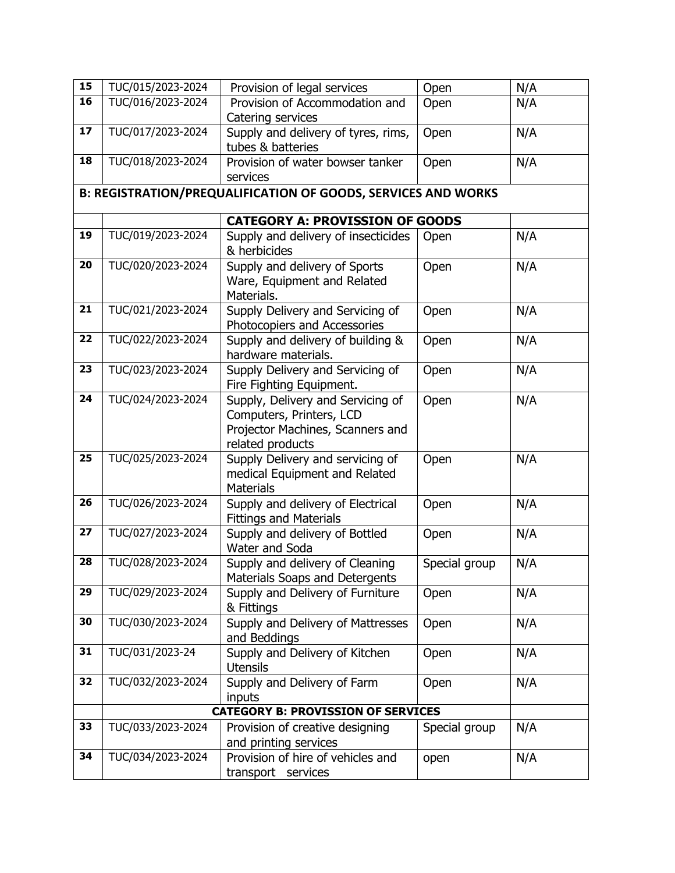| 15 | TUC/015/2023-2024                         | Provision of legal services                                   | Open          | N/A |  |
|----|-------------------------------------------|---------------------------------------------------------------|---------------|-----|--|
| 16 | TUC/016/2023-2024                         | Provision of Accommodation and                                | Open          | N/A |  |
|    |                                           | Catering services                                             |               |     |  |
| 17 | TUC/017/2023-2024                         | Supply and delivery of tyres, rims,                           | Open          | N/A |  |
|    |                                           | tubes & batteries                                             |               |     |  |
| 18 | TUC/018/2023-2024                         | Provision of water bowser tanker                              | Open          | N/A |  |
|    |                                           | services                                                      |               |     |  |
|    |                                           | B: REGISTRATION/PREQUALIFICATION OF GOODS, SERVICES AND WORKS |               |     |  |
|    |                                           | <b>CATEGORY A: PROVISSION OF GOODS</b>                        |               |     |  |
| 19 | TUC/019/2023-2024                         | Supply and delivery of insecticides                           | Open          | N/A |  |
|    |                                           | & herbicides                                                  |               |     |  |
| 20 | TUC/020/2023-2024                         | Supply and delivery of Sports                                 | Open          | N/A |  |
|    |                                           | Ware, Equipment and Related                                   |               |     |  |
|    |                                           | Materials.                                                    |               |     |  |
| 21 | TUC/021/2023-2024                         | Supply Delivery and Servicing of                              | Open          | N/A |  |
|    |                                           | Photocopiers and Accessories                                  |               |     |  |
| 22 | TUC/022/2023-2024                         | Supply and delivery of building &                             | Open          | N/A |  |
|    |                                           | hardware materials.                                           |               |     |  |
| 23 | TUC/023/2023-2024                         | Supply Delivery and Servicing of                              | Open          | N/A |  |
|    |                                           | Fire Fighting Equipment.                                      |               |     |  |
| 24 | TUC/024/2023-2024                         | Supply, Delivery and Servicing of                             | Open          | N/A |  |
|    |                                           | Computers, Printers, LCD                                      |               |     |  |
|    |                                           | Projector Machines, Scanners and                              |               |     |  |
|    |                                           | related products                                              |               |     |  |
| 25 | TUC/025/2023-2024                         | Supply Delivery and servicing of                              | Open          | N/A |  |
|    |                                           | medical Equipment and Related<br><b>Materials</b>             |               |     |  |
| 26 | TUC/026/2023-2024                         | Supply and delivery of Electrical                             | Open          | N/A |  |
|    |                                           | <b>Fittings and Materials</b>                                 |               |     |  |
| 27 | TUC/027/2023-2024                         | Supply and delivery of Bottled                                | Open          | N/A |  |
|    |                                           | Water and Soda                                                |               |     |  |
| 28 | TUC/028/2023-2024                         | Supply and delivery of Cleaning                               | Special group | N/A |  |
|    |                                           | Materials Soaps and Detergents                                |               |     |  |
| 29 | TUC/029/2023-2024                         | Supply and Delivery of Furniture                              | Open          | N/A |  |
|    |                                           | & Fittings                                                    |               |     |  |
| 30 | TUC/030/2023-2024                         | Supply and Delivery of Mattresses                             | Open          | N/A |  |
|    |                                           | and Beddings                                                  |               |     |  |
| 31 | TUC/031/2023-24                           | Supply and Delivery of Kitchen                                | Open          | N/A |  |
|    |                                           | <b>Utensils</b>                                               |               |     |  |
| 32 | TUC/032/2023-2024                         | Supply and Delivery of Farm                                   | Open          | N/A |  |
|    |                                           | inputs                                                        |               |     |  |
|    | <b>CATEGORY B: PROVISSION OF SERVICES</b> |                                                               |               |     |  |
| 33 | TUC/033/2023-2024                         | Provision of creative designing                               | Special group | N/A |  |
|    |                                           | and printing services                                         |               |     |  |
| 34 | TUC/034/2023-2024                         | Provision of hire of vehicles and                             | open          | N/A |  |
|    |                                           | transport services                                            |               |     |  |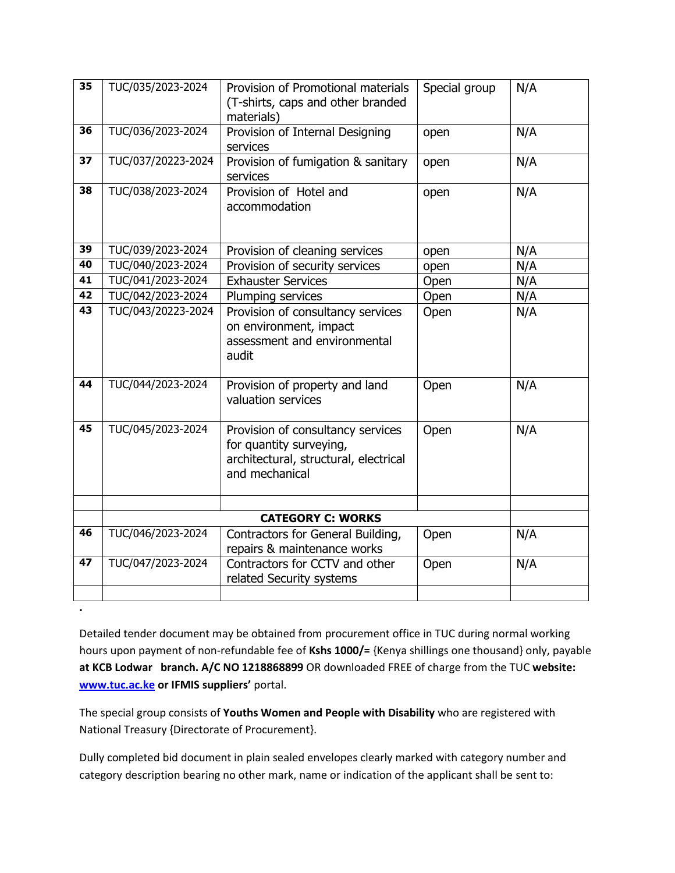| 35 | TUC/035/2023-2024  | Provision of Promotional materials<br>(T-shirts, caps and other branded<br>materials)                                   | Special group | N/A |
|----|--------------------|-------------------------------------------------------------------------------------------------------------------------|---------------|-----|
| 36 | TUC/036/2023-2024  | Provision of Internal Designing<br>services                                                                             | open          | N/A |
| 37 | TUC/037/20223-2024 | Provision of fumigation & sanitary<br>services                                                                          | open          | N/A |
| 38 | TUC/038/2023-2024  | Provision of Hotel and<br>accommodation                                                                                 | open          | N/A |
| 39 | TUC/039/2023-2024  | Provision of cleaning services                                                                                          | open          | N/A |
| 40 | TUC/040/2023-2024  | Provision of security services                                                                                          | open          | N/A |
| 41 | TUC/041/2023-2024  | <b>Exhauster Services</b>                                                                                               | Open          | N/A |
| 42 | TUC/042/2023-2024  | Plumping services                                                                                                       | Open          | N/A |
| 43 | TUC/043/20223-2024 | Provision of consultancy services<br>on environment, impact<br>assessment and environmental<br>audit                    | Open          | N/A |
| 44 | TUC/044/2023-2024  | Provision of property and land<br>valuation services                                                                    | Open          | N/A |
| 45 | TUC/045/2023-2024  | Provision of consultancy services<br>for quantity surveying,<br>architectural, structural, electrical<br>and mechanical | Open          | N/A |
|    |                    | <b>CATEGORY C: WORKS</b>                                                                                                |               |     |
| 46 | TUC/046/2023-2024  |                                                                                                                         |               |     |
|    |                    | Contractors for General Building,<br>repairs & maintenance works                                                        | Open          | N/A |
| 47 | TUC/047/2023-2024  | Contractors for CCTV and other<br>related Security systems                                                              | Open          | N/A |
|    |                    |                                                                                                                         |               |     |

Detailed tender document may be obtained from procurement office in TUC during normal working hours upon payment of non-refundable fee of **Kshs 1000/=** {Kenya shillings one thousand} only, payable **at KCB Lodwar branch. A/C NO 1218868899** OR downloaded FREE of charge from the TUC **website: [www.tuc.ac.ke](http://www.tuc.ac.ke/) or IFMIS suppliers'** portal.

The special group consists of **Youths Women and People with Disability** who are registered with National Treasury {Directorate of Procurement}.

**.**

Dully completed bid document in plain sealed envelopes clearly marked with category number and category description bearing no other mark, name or indication of the applicant shall be sent to: